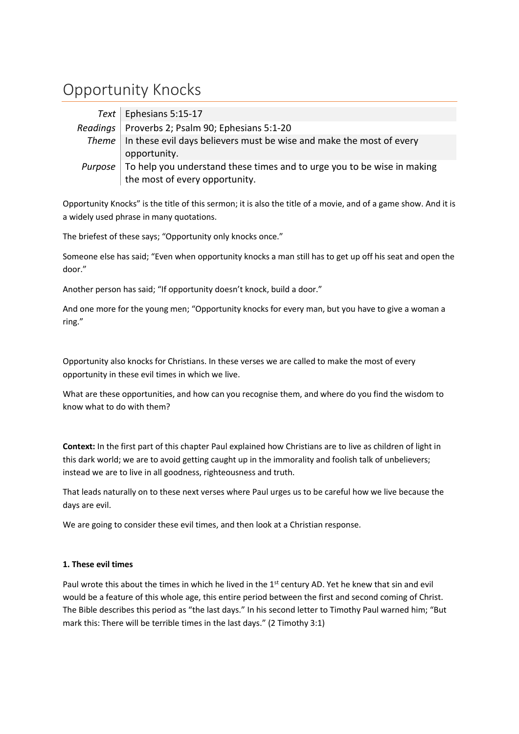# Opportunity Knocks

| Text   Ephesians 5:15-17                                                                   |
|--------------------------------------------------------------------------------------------|
| Readings   Proverbs 2; Psalm 90; Ephesians 5:1-20                                          |
| Theme In these evil days believers must be wise and make the most of every                 |
| opportunity.                                                                               |
| Purpose $\sqrt{ }$ To help you understand these times and to urge you to be wise in making |
| the most of every opportunity.                                                             |

Opportunity Knocks" is the title of this sermon; it is also the title of a movie, and of a game show. And it is a widely used phrase in many quotations.

The briefest of these says; "Opportunity only knocks once."

Someone else has said; "Even when opportunity knocks a man still has to get up off his seat and open the door."

Another person has said; "If opportunity doesn't knock, build a door."

And one more for the young men; "Opportunity knocks for every man, but you have to give a woman a ring."

Opportunity also knocks for Christians. In these verses we are called to make the most of every opportunity in these evil times in which we live.

What are these opportunities, and how can you recognise them, and where do you find the wisdom to know what to do with them?

**Context:** In the first part of this chapter Paul explained how Christians are to live as children of light in this dark world; we are to avoid getting caught up in the immorality and foolish talk of unbelievers; instead we are to live in all goodness, righteousness and truth.

That leads naturally on to these next verses where Paul urges us to be careful how we live because the days are evil.

We are going to consider these evil times, and then look at a Christian response.

# **1. These evil times**

Paul wrote this about the times in which he lived in the 1<sup>st</sup> century AD. Yet he knew that sin and evil would be a feature of this whole age, this entire period between the first and second coming of Christ. The Bible describes this period as "the last days." In his second letter to Timothy Paul warned him; "But mark this: There will be terrible times in the last days." (2 Timothy 3:1)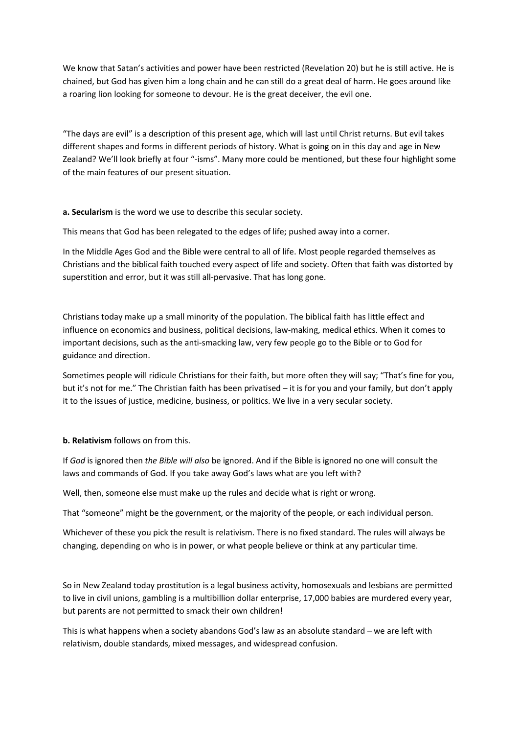We know that Satan's activities and power have been restricted (Revelation 20) but he is still active. He is chained, but God has given him a long chain and he can still do a great deal of harm. He goes around like a roaring lion looking for someone to devour. He is the great deceiver, the evil one.

"The days are evil" is a description of this present age, which will last until Christ returns. But evil takes different shapes and forms in different periods of history. What is going on in this day and age in New Zealand? We'll look briefly at four "-isms". Many more could be mentioned, but these four highlight some of the main features of our present situation.

**a. Secularism** is the word we use to describe this secular society.

This means that God has been relegated to the edges of life; pushed away into a corner.

In the Middle Ages God and the Bible were central to all of life. Most people regarded themselves as Christians and the biblical faith touched every aspect of life and society. Often that faith was distorted by superstition and error, but it was still all-pervasive. That has long gone.

Christians today make up a small minority of the population. The biblical faith has little effect and influence on economics and business, political decisions, law-making, medical ethics. When it comes to important decisions, such as the anti-smacking law, very few people go to the Bible or to God for guidance and direction.

Sometimes people will ridicule Christians for their faith, but more often they will say; "That's fine for you, but it's not for me." The Christian faith has been privatised – it is for you and your family, but don't apply it to the issues of justice, medicine, business, or politics. We live in a very secular society.

**b. Relativism** follows on from this.

If *God* is ignored then *the Bible will also* be ignored. And if the Bible is ignored no one will consult the laws and commands of God. If you take away God's laws what are you left with?

Well, then, someone else must make up the rules and decide what is right or wrong.

That "someone" might be the government, or the majority of the people, or each individual person.

Whichever of these you pick the result is relativism. There is no fixed standard. The rules will always be changing, depending on who is in power, or what people believe or think at any particular time.

So in New Zealand today prostitution is a legal business activity, homosexuals and lesbians are permitted to live in civil unions, gambling is a multibillion dollar enterprise, 17,000 babies are murdered every year, but parents are not permitted to smack their own children!

This is what happens when a society abandons God's law as an absolute standard – we are left with relativism, double standards, mixed messages, and widespread confusion.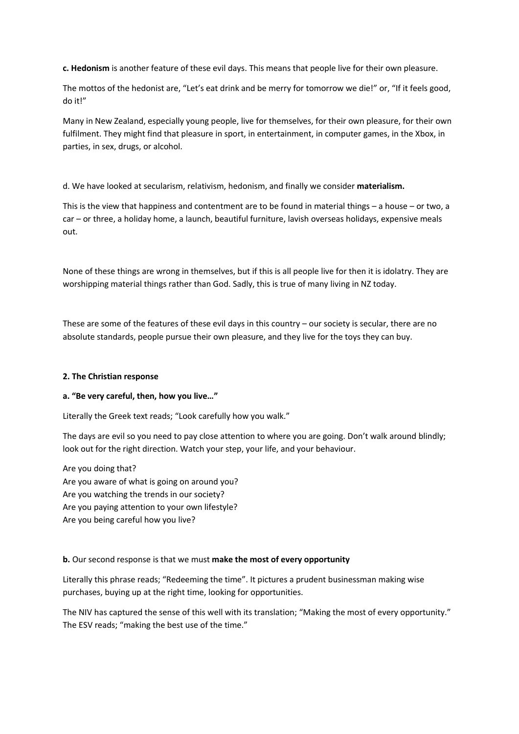**c. Hedonism** is another feature of these evil days. This means that people live for their own pleasure.

The mottos of the hedonist are, "Let's eat drink and be merry for tomorrow we die!" or, "If it feels good, do it!"

Many in New Zealand, especially young people, live for themselves, for their own pleasure, for their own fulfilment. They might find that pleasure in sport, in entertainment, in computer games, in the Xbox, in parties, in sex, drugs, or alcohol.

d. We have looked at secularism, relativism, hedonism, and finally we consider **materialism.**

This is the view that happiness and contentment are to be found in material things – a house – or two, a car – or three, a holiday home, a launch, beautiful furniture, lavish overseas holidays, expensive meals out.

None of these things are wrong in themselves, but if this is all people live for then it is idolatry. They are worshipping material things rather than God. Sadly, this is true of many living in NZ today.

These are some of the features of these evil days in this country – our society is secular, there are no absolute standards, people pursue their own pleasure, and they live for the toys they can buy.

#### **2. The Christian response**

#### **a. "Be very careful, then, how you live…"**

Literally the Greek text reads; "Look carefully how you walk."

The days are evil so you need to pay close attention to where you are going. Don't walk around blindly; look out for the right direction. Watch your step, your life, and your behaviour.

Are you doing that? Are you aware of what is going on around you? Are you watching the trends in our society? Are you paying attention to your own lifestyle? Are you being careful how you live?

#### **b.** Our second response is that we must **make the most of every opportunity**

Literally this phrase reads; "Redeeming the time". It pictures a prudent businessman making wise purchases, buying up at the right time, looking for opportunities.

The NIV has captured the sense of this well with its translation; "Making the most of every opportunity." The ESV reads; "making the best use of the time."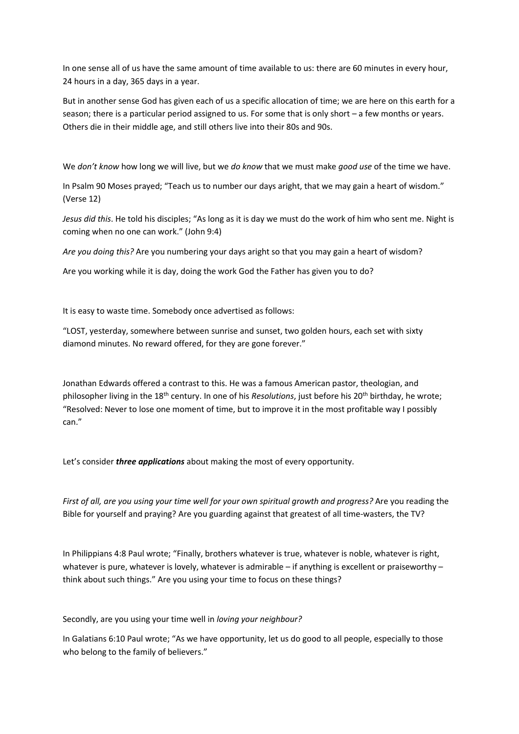In one sense all of us have the same amount of time available to us: there are 60 minutes in every hour, 24 hours in a day, 365 days in a year.

But in another sense God has given each of us a specific allocation of time; we are here on this earth for a season; there is a particular period assigned to us. For some that is only short – a few months or years. Others die in their middle age, and still others live into their 80s and 90s.

We *don't know* how long we will live, but we *do know* that we must make *good use* of the time we have.

In Psalm 90 Moses prayed; "Teach us to number our days aright, that we may gain a heart of wisdom." (Verse 12)

*Jesus did this*. He told his disciples; "As long as it is day we must do the work of him who sent me. Night is coming when no one can work." (John 9:4)

*Are you doing this?* Are you numbering your days aright so that you may gain a heart of wisdom?

Are you working while it is day, doing the work God the Father has given you to do?

It is easy to waste time. Somebody once advertised as follows:

"LOST, yesterday, somewhere between sunrise and sunset, two golden hours, each set with sixty diamond minutes. No reward offered, for they are gone forever."

Jonathan Edwards offered a contrast to this. He was a famous American pastor, theologian, and philosopher living in the 18th century. In one of his *Resolutions*, just before his 20th birthday, he wrote; "Resolved: Never to lose one moment of time, but to improve it in the most profitable way I possibly can."

Let's consider *three applications* about making the most of every opportunity.

*First of all, are you using your time well for your own spiritual growth and progress?* Are you reading the Bible for yourself and praying? Are you guarding against that greatest of all time-wasters, the TV?

In Philippians 4:8 Paul wrote; "Finally, brothers whatever is true, whatever is noble, whatever is right, whatever is pure, whatever is lovely, whatever is admirable – if anything is excellent or praiseworthy – think about such things." Are you using your time to focus on these things?

Secondly, are you using your time well in *loving your neighbour?*

In Galatians 6:10 Paul wrote; "As we have opportunity, let us do good to all people, especially to those who belong to the family of believers."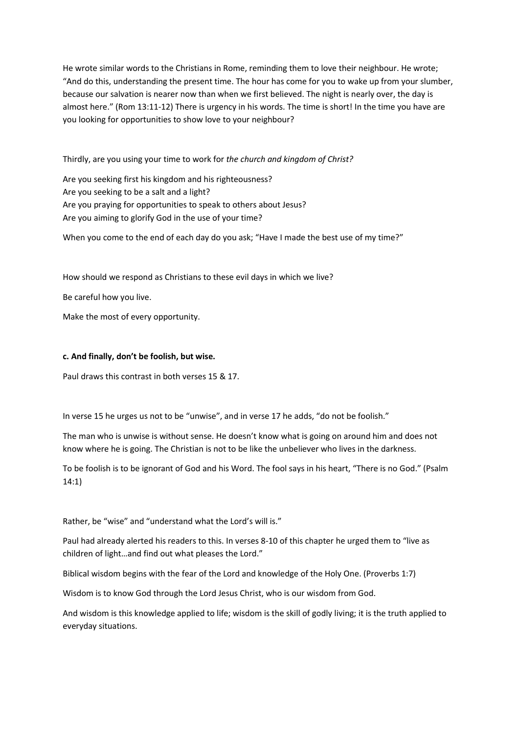He wrote similar words to the Christians in Rome, reminding them to love their neighbour. He wrote; "And do this, understanding the present time. The hour has come for you to wake up from your slumber, because our salvation is nearer now than when we first believed. The night is nearly over, the day is almost here." (Rom 13:11-12) There is urgency in his words. The time is short! In the time you have are you looking for opportunities to show love to your neighbour?

Thirdly, are you using your time to work for *the church and kingdom of Christ?*

Are you seeking first his kingdom and his righteousness? Are you seeking to be a salt and a light? Are you praying for opportunities to speak to others about Jesus? Are you aiming to glorify God in the use of your time?

When you come to the end of each day do you ask; "Have I made the best use of my time?"

How should we respond as Christians to these evil days in which we live?

Be careful how you live.

Make the most of every opportunity.

## **c. And finally, don't be foolish, but wise.**

Paul draws this contrast in both verses 15 & 17.

In verse 15 he urges us not to be "unwise", and in verse 17 he adds, "do not be foolish."

The man who is unwise is without sense. He doesn't know what is going on around him and does not know where he is going. The Christian is not to be like the unbeliever who lives in the darkness.

To be foolish is to be ignorant of God and his Word. The fool says in his heart, "There is no God." (Psalm 14:1)

Rather, be "wise" and "understand what the Lord's will is."

Paul had already alerted his readers to this. In verses 8-10 of this chapter he urged them to "live as children of light…and find out what pleases the Lord."

Biblical wisdom begins with the fear of the Lord and knowledge of the Holy One. (Proverbs 1:7)

Wisdom is to know God through the Lord Jesus Christ, who is our wisdom from God.

And wisdom is this knowledge applied to life; wisdom is the skill of godly living; it is the truth applied to everyday situations.